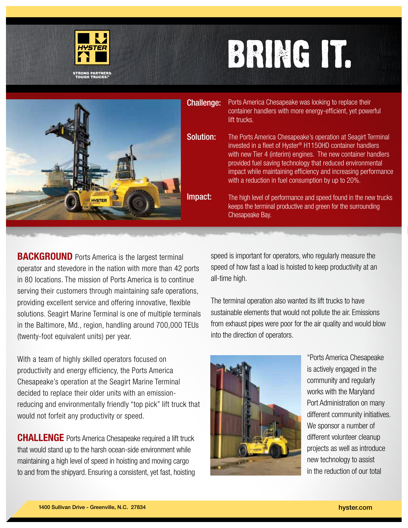

## BRING IT.

|  | <b>Challenge:</b> | Ports America Chesapeake was looking to replace their<br>container handlers with more energy-efficient, yet powerful<br>lift trucks.                                                                                                                                                                                                                                                         |
|--|-------------------|----------------------------------------------------------------------------------------------------------------------------------------------------------------------------------------------------------------------------------------------------------------------------------------------------------------------------------------------------------------------------------------------|
|  | <b>Solution:</b>  | The Ports America Chesapeake's operation at Seagirt Terminal<br>invested in a fleet of Hyster <sup>®</sup> H1150HD container handlers<br>with new Tier 4 (interim) engines. The new container handlers<br>provided fuel saving technology that reduced environmental<br>impact while maintaining efficiency and increasing performance<br>with a reduction in fuel consumption by up to 20%. |
|  | Impact:           | The high level of performance and speed found in the new trucks<br>keeps the terminal productive and green for the surrounding<br>Chesapeake Bay.                                                                                                                                                                                                                                            |
|  |                   |                                                                                                                                                                                                                                                                                                                                                                                              |

**BACKGROUND** Ports America is the largest terminal operator and stevedore in the nation with more than 42 ports in 80 locations. The mission of Ports America is to continue serving their customers through maintaining safe operations, providing excellent service and offering innovative, flexible solutions. Seagirt Marine Terminal is one of multiple terminals in the Baltimore, Md., region, handling around 700,000 TEUs (twenty-foot equivalent units) per year.

With a team of highly skilled operators focused on productivity and energy efficiency, the Ports America Chesapeake's operation at the Seagirt Marine Terminal decided to replace their older units with an emissionreducing and environmentally friendly "top pick" lift truck that would not forfeit any productivity or speed.

**CHALLENGE** Ports America Chesapeake required a lift truck that would stand up to the harsh ocean-side environment while maintaining a high level of speed in hoisting and moving cargo to and from the shipyard. Ensuring a consistent, yet fast, hoisting speed is important for operators, who regularly measure the speed of how fast a load is hoisted to keep productivity at an all-time high.

The terminal operation also wanted its lift trucks to have sustainable elements that would not pollute the air. Emissions from exhaust pipes were poor for the air quality and would blow into the direction of operators.



"Ports America Chesapeake is actively engaged in the community and regularly works with the Maryland Port Administration on many different community initiatives. We sponsor a number of different volunteer cleanup projects as well as introduce new technology to assist in the reduction of our total